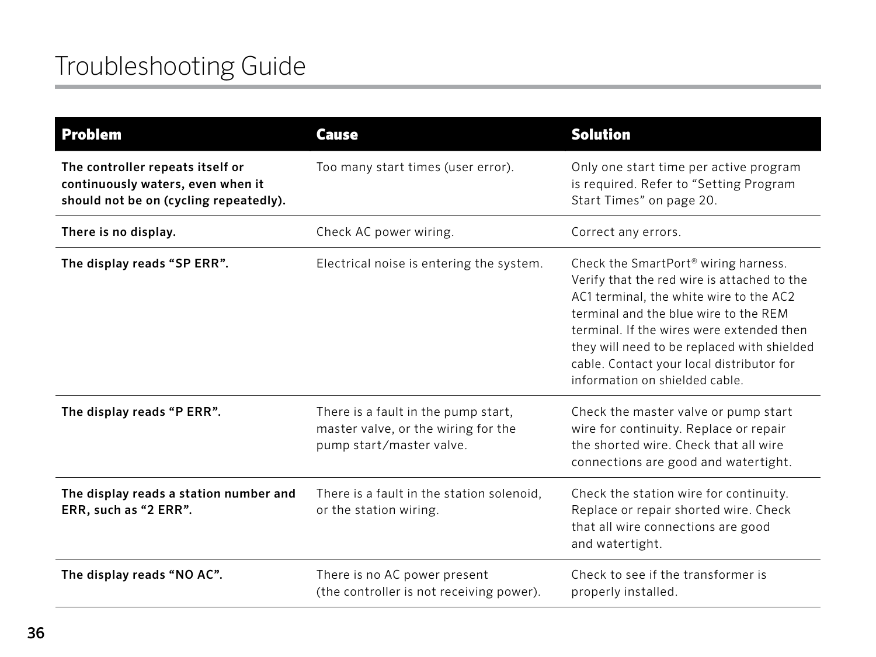| <b>Problem</b>                                                                                                  | <b>Cause</b>                                                                                           | <b>Solution</b>                                                                                                                                                                                                                                                                                                                                                |
|-----------------------------------------------------------------------------------------------------------------|--------------------------------------------------------------------------------------------------------|----------------------------------------------------------------------------------------------------------------------------------------------------------------------------------------------------------------------------------------------------------------------------------------------------------------------------------------------------------------|
| The controller repeats itself or<br>continuously waters, even when it<br>should not be on (cycling repeatedly). | Too many start times (user error).                                                                     | Only one start time per active program<br>is required. Refer to "Setting Program<br>Start Times" on page 20.                                                                                                                                                                                                                                                   |
| There is no display.                                                                                            | Check AC power wiring.                                                                                 | Correct any errors.                                                                                                                                                                                                                                                                                                                                            |
| The display reads "SP ERR".                                                                                     | Electrical noise is entering the system.                                                               | Check the SmartPort <sup>®</sup> wiring harness.<br>Verify that the red wire is attached to the<br>AC1 terminal, the white wire to the AC2<br>terminal and the blue wire to the REM<br>terminal. If the wires were extended then<br>they will need to be replaced with shielded<br>cable. Contact your local distributor for<br>information on shielded cable. |
| The display reads "P ERR".                                                                                      | There is a fault in the pump start,<br>master valve, or the wiring for the<br>pump start/master valve. | Check the master valve or pump start<br>wire for continuity. Replace or repair<br>the shorted wire. Check that all wire<br>connections are good and watertight.                                                                                                                                                                                                |
| The display reads a station number and<br>ERR, such as "2 ERR".                                                 | There is a fault in the station solenoid,<br>or the station wiring.                                    | Check the station wire for continuity.<br>Replace or repair shorted wire. Check<br>that all wire connections are good<br>and watertight.                                                                                                                                                                                                                       |
| The display reads "NO AC".                                                                                      | There is no AC power present<br>(the controller is not receiving power).                               | Check to see if the transformer is<br>properly installed.                                                                                                                                                                                                                                                                                                      |